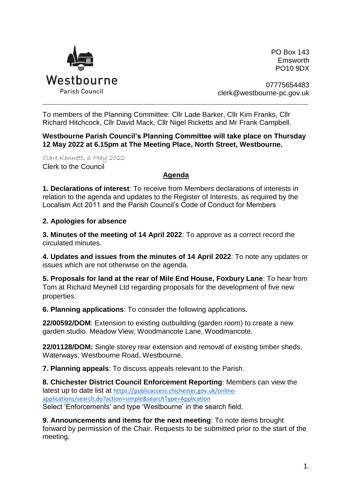

PO Box 143 Emsworth PO10 9DX

07775654483 clerk@westbourne-pc.gov.uk

To members of the Planning Committee: Cllr Lade Barker, Cllr Kim Franks, Cllr Richard Hitchcock, Cllr David Mack, Cllr Nigel Ricketts and Mr Frank Campbell.

**Westbourne Parish Council's Planning Committee will take place on Thursday 12 May 2022 at 6.15pm at The Meeting Place, North Street, Westbourne.** 

\_\_\_\_\_\_\_\_\_\_\_\_\_\_\_\_\_\_\_\_\_\_\_\_\_\_\_\_\_\_\_\_\_\_\_\_\_\_\_\_\_\_\_\_\_\_\_\_\_\_\_\_\_\_\_\_\_\_\_\_\_\_\_\_\_\_\_\_\_\_\_\_\_\_\_\_\_\_\_\_\_\_\_\_\_\_\_\_\_\_\_\_\_\_\_\_\_\_\_\_\_

Clare Kennett, 6 May 2022 Clerk to the Council

## **Agenda**

**1. Declarations of interest**: To receive from Members declarations of interests in relation to the agenda and updates to the Register of Interests, as required by the Localism Act 2011 and the Parish Council's Code of Conduct for Members

## **2. Apologies for absence**

**3. Minutes of the meeting of 14 April 2022**: To approve as a correct record the circulated minutes.

**4. Updates and issues from the minutes of 14 April 2022**: To note any updates or issues which are not otherwise on the agenda.

**5. Proposals for land at the rear of Mile End House, Foxbury Lane**: To hear from Tom at Richard Meynell Ltd regarding proposals for the development of five new properties.

**6. Planning applications**: To consider the following applications.

**22/00592/DOM**: Extension to existing outbuilding (garden room) to create a new garden studio. Meadow View, Woodmancote Lane, Woodmancote.

**22/01128/DOM:** Single storey rear extension and removal of existing timber sheds. Waterways, Westbourne Road, Westbourne.

**7. Planning appeals**: To discuss appeals relevant to the Parish.

**8. Chichester District Council Enforcement Reporting**: Members can view the latest up to date list at [https://publicaccess.chichester.gov.uk/online](https://publicaccess.chichester.gov.uk/online-applications/search.do?action=simple&searchType=Application)[applications/search.do?action=simple&searchType=Application](https://publicaccess.chichester.gov.uk/online-applications/search.do?action=simple&searchType=Application) Select 'Enforcements' and type 'Westbourne' in the search field.

**9. Announcements and items for the next meeting**: To note items brought forward by permission of the Chair. Requests to be submitted prior to the start of the meeting.